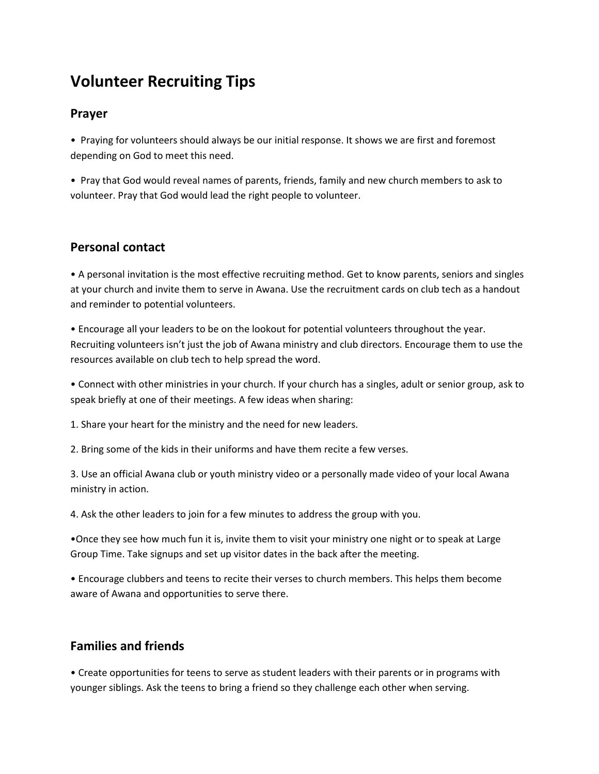# **Volunteer Recruiting Tips**

#### **Prayer**

• Praying for volunteers should always be our initial response. It shows we are first and foremost depending on God to meet this need.

• Pray that God would reveal names of parents, friends, family and new church members to ask to volunteer. Pray that God would lead the right people to volunteer.

#### **Personal contact**

• A personal invitation is the most effective recruiting method. Get to know parents, seniors and singles at your church and invite them to serve in Awana. Use the recruitment cards on club tech as a handout and reminder to potential volunteers.

• Encourage all your leaders to be on the lookout for potential volunteers throughout the year. Recruiting volunteers isn't just the job of Awana ministry and club directors. Encourage them to use the resources available on club tech to help spread the word.

• Connect with other ministries in your church. If your church has a singles, adult or senior group, ask to speak briefly at one of their meetings. A few ideas when sharing:

1. Share your heart for the ministry and the need for new leaders.

2. Bring some of the kids in their uniforms and have them recite a few verses.

3. Use an official Awana club or youth ministry video or a personally made video of your local Awana ministry in action.

4. Ask the other leaders to join for a few minutes to address the group with you.

•Once they see how much fun it is, invite them to visit your ministry one night or to speak at Large Group Time. Take signups and set up visitor dates in the back after the meeting.

• Encourage clubbers and teens to recite their verses to church members. This helps them become aware of Awana and opportunities to serve there.

## **Families and friends**

• Create opportunities for teens to serve as student leaders with their parents or in programs with younger siblings. Ask the teens to bring a friend so they challenge each other when serving.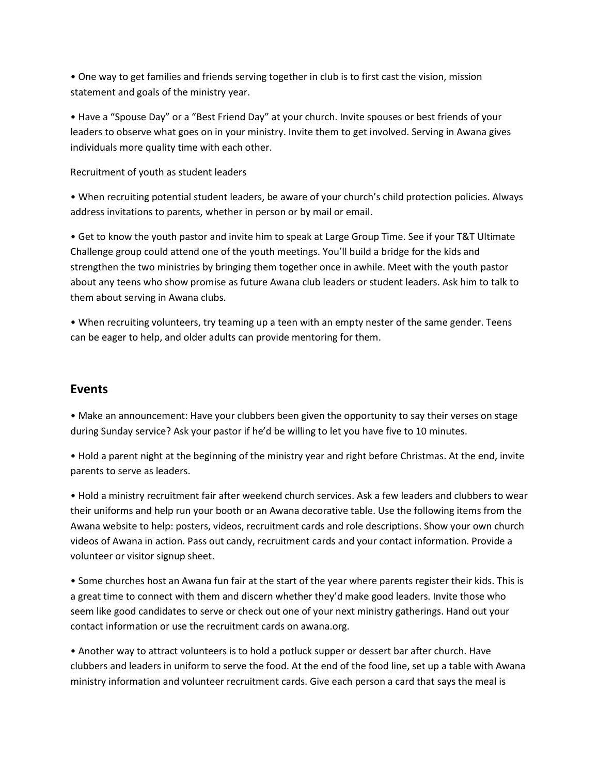• One way to get families and friends serving together in club is to first cast the vision, mission statement and goals of the ministry year.

• Have a "Spouse Day" or a "Best Friend Day" at your church. Invite spouses or best friends of your leaders to observe what goes on in your ministry. Invite them to get involved. Serving in Awana gives individuals more quality time with each other.

Recruitment of youth as student leaders

• When recruiting potential student leaders, be aware of your church's child protection policies. Always address invitations to parents, whether in person or by mail or email.

• Get to know the youth pastor and invite him to speak at Large Group Time. See if your T&T Ultimate Challenge group could attend one of the youth meetings. You'll build a bridge for the kids and strengthen the two ministries by bringing them together once in awhile. Meet with the youth pastor about any teens who show promise as future Awana club leaders or student leaders. Ask him to talk to them about serving in Awana clubs.

• When recruiting volunteers, try teaming up a teen with an empty nester of the same gender. Teens can be eager to help, and older adults can provide mentoring for them.

#### **Events**

• Make an announcement: Have your clubbers been given the opportunity to say their verses on stage during Sunday service? Ask your pastor if he'd be willing to let you have five to 10 minutes.

• Hold a parent night at the beginning of the ministry year and right before Christmas. At the end, invite parents to serve as leaders.

• Hold a ministry recruitment fair after weekend church services. Ask a few leaders and clubbers to wear their uniforms and help run your booth or an Awana decorative table. Use the following items from the Awana website to help: posters, videos, recruitment cards and role descriptions. Show your own church videos of Awana in action. Pass out candy, recruitment cards and your contact information. Provide a volunteer or visitor signup sheet.

• Some churches host an Awana fun fair at the start of the year where parents register their kids. This is a great time to connect with them and discern whether they'd make good leaders. Invite those who seem like good candidates to serve or check out one of your next ministry gatherings. Hand out your contact information or use the recruitment cards on awana.org.

• Another way to attract volunteers is to hold a potluck supper or dessert bar after church. Have clubbers and leaders in uniform to serve the food. At the end of the food line, set up a table with Awana ministry information and volunteer recruitment cards. Give each person a card that says the meal is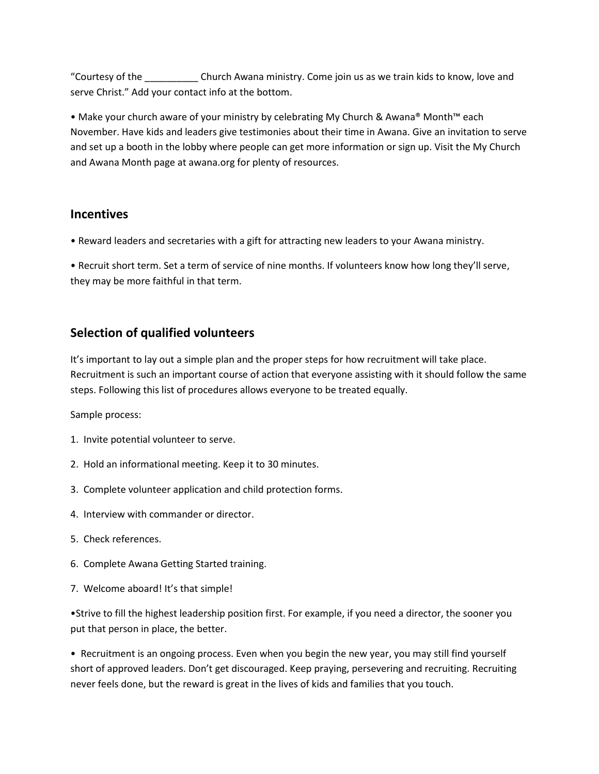"Courtesy of the \_\_\_\_\_\_\_\_\_\_ Church Awana ministry. Come join us as we train kids to know, love and serve Christ." Add your contact info at the bottom.

• Make your church aware of your ministry by celebrating My Church & Awana® Month™ each November. Have kids and leaders give testimonies about their time in Awana. Give an invitation to serve and set up a booth in the lobby where people can get more information or sign up. Visit the My Church and Awana Month page at awana.org for plenty of resources.

#### **Incentives**

• Reward leaders and secretaries with a gift for attracting new leaders to your Awana ministry.

• Recruit short term. Set a term of service of nine months. If volunteers know how long they'll serve, they may be more faithful in that term.

## **Selection of qualified volunteers**

It's important to lay out a simple plan and the proper steps for how recruitment will take place. Recruitment is such an important course of action that everyone assisting with it should follow the same steps. Following this list of procedures allows everyone to be treated equally.

Sample process:

- 1. Invite potential volunteer to serve.
- 2. Hold an informational meeting. Keep it to 30 minutes.
- 3. Complete volunteer application and child protection forms.
- 4. Interview with commander or director.
- 5. Check references.
- 6. Complete Awana Getting Started training.
- 7. Welcome aboard! It's that simple!

•Strive to fill the highest leadership position first. For example, if you need a director, the sooner you put that person in place, the better.

• Recruitment is an ongoing process. Even when you begin the new year, you may still find yourself short of approved leaders. Don't get discouraged. Keep praying, persevering and recruiting. Recruiting never feels done, but the reward is great in the lives of kids and families that you touch.